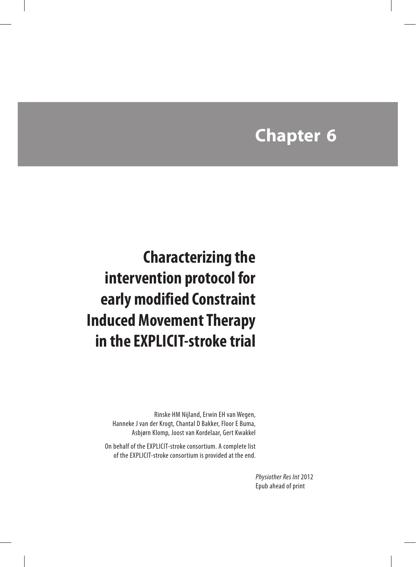# **Chapter 6**

 **Characterizing the intervention protocol for early modified Constraint Induced Movement Therapy in the EXPLICIT-stroke trial**

> Rinske HM Nijland, Erwin EH van Wegen, Hanneke J van der Krogt, Chantal D Bakker, Floor E Buma, Asbjørn Klomp, Joost van Kordelaar, Gert Kwakkel

On behalf of the EXPLICIT-stroke consortium. A complete list of the EXPLICIT-stroke consortium is provided at the end.

> *Physiother Res Int* 2012 Epub ahead of print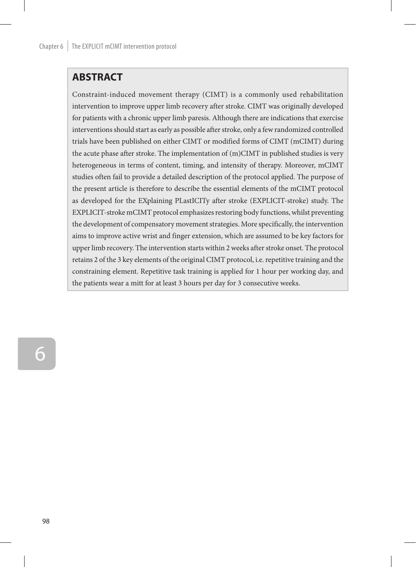## **ABSTRACT**

Constraint-induced movement therapy (CIMT) is a commonly used rehabilitation intervention to improve upper limb recovery after stroke. CIMT was originally developed for patients with a chronic upper limb paresis. Although there are indications that exercise interventions should start as early as possible after stroke, only a few randomized controlled trials have been published on either CIMT or modified forms of CIMT (mCIMT) during the acute phase after stroke. The implementation of (m)CIMT in published studies is very heterogeneous in terms of content, timing, and intensity of therapy. Moreover, mCIMT studies often fail to provide a detailed description of the protocol applied. The purpose of the present article is therefore to describe the essential elements of the mCIMT protocol as developed for the EXplaining PLastICITy after stroke (EXPLICIT-stroke) study. The EXPLICIT-stroke mCIMT protocol emphasizes restoring body functions, whilst preventing the development of compensatory movement strategies. More specifically, the intervention aims to improve active wrist and finger extension, which are assumed to be key factors for upper limb recovery. The intervention starts within 2 weeks after stroke onset. The protocol retains 2 of the 3 key elements of the original CIMT protocol, i.e. repetitive training and the constraining element. Repetitive task training is applied for 1 hour per working day, and the patients wear a mitt for at least 3 hours per day for 3 consecutive weeks.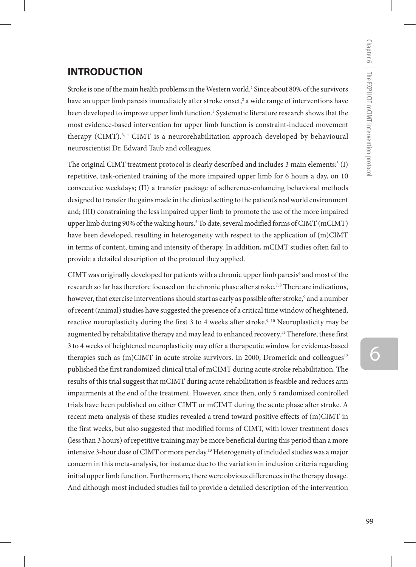## **INTRODUCTION**

Stroke is one of the main health problems in the Western world.1 Since about 80% of the survivors have an upper limb paresis immediately after stroke onset,<sup>2</sup> a wide range of interventions have been developed to improve upper limb function.<sup>3</sup> Systematic literature research shows that the most evidence-based intervention for upper limb function is constraint-induced movement therapy (CIMT).<sup>3, 4</sup> CIMT is a neurorehabilitation approach developed by behavioural neuroscientist Dr. Edward Taub and colleagues.

The original CIMT treatment protocol is clearly described and includes 3 main elements: $(1)$ repetitive, task-oriented training of the more impaired upper limb for 6 hours a day, on 10 consecutive weekdays; (II) a transfer package of adherence-enhancing behavioral methods designed to transfer the gains made in the clinical setting to the patient's real world environment and; (III) constraining the less impaired upper limb to promote the use of the more impaired upper limb during 90% of the waking hours.5 To date, several modified forms of CIMT (mCIMT) have been developed, resulting in heterogeneity with respect to the application of (m)CIMT in terms of content, timing and intensity of therapy. In addition, mCIMT studies often fail to provide a detailed description of the protocol they applied.

CIMT was originally developed for patients with a chronic upper limb paresis $^6$  and most of the research so far has therefore focused on the chronic phase after stroke.<sup>7,8</sup> There are indications, however, that exercise interventions should start as early as possible after stroke,<sup>9</sup> and a number of recent (animal) studies have suggested the presence of a critical time window of heightened, reactive neuroplasticity during the first 3 to 4 weeks after stroke.<sup>9, 10</sup> Neuroplasticity may be augmented by rehabilitative therapy and may lead to enhanced recovery.<sup>11</sup> Therefore, these first 3 to 4 weeks of heightened neuroplasticity may offer a therapeutic window for evidence-based therapies such as (m)CIMT in acute stroke survivors. In 2000, Dromerick and colleagues<sup>12</sup> published the first randomized clinical trial of mCIMT during acute stroke rehabilitation. The results of this trial suggest that mCIMT during acute rehabilitation is feasible and reduces arm impairments at the end of the treatment. However, since then, only 5 randomized controlled trials have been published on either CIMT or mCIMT during the acute phase after stroke. A recent meta-analysis of these studies revealed a trend toward positive effects of (m)CIMT in the first weeks, but also suggested that modified forms of CIMT, with lower treatment doses (less than 3 hours) of repetitive training may be more beneficial during this period than a more intensive 3-hour dose of CIMT or more per day.13 Heterogeneity of included studies was a major concern in this meta-analysis, for instance due to the variation in inclusion criteria regarding initial upper limb function. Furthermore, there were obvious differences in the therapy dosage. And although most included studies fail to provide a detailed description of the intervention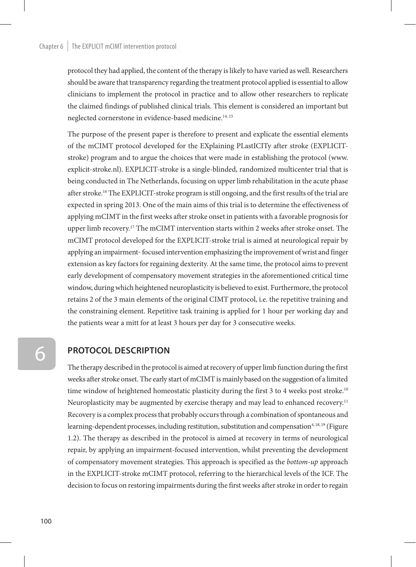#### Chapter  $6 \mid$  The EXPLICIT mCIMT intervention protocol

protocol they had applied, the content of the therapy is likely to have varied as well. Researchers should be aware that transparency regarding the treatment protocol applied is essential to allow clinicians to implement the protocol in practice and to allow other researchers to replicate the claimed findings of published clinical trials. This element is considered an important but neglected cornerstone in evidence-based medicine.<sup>14, 15</sup>

The purpose of the present paper is therefore to present and explicate the essential elements of the mCIMT protocol developed for the EXplaining PLastICITy after stroke (EXPLICITstroke) program and to argue the choices that were made in establishing the protocol (www. explicit-stroke.nl). EXPLICIT-stroke is a single-blinded, randomized multicenter trial that is being conducted in The Netherlands, focusing on upper limb rehabilitation in the acute phase after stroke.16 The EXPLICIT-stroke program is still ongoing, and the first results of the trial are expected in spring 2013. One of the main aims of this trial is to determine the effectiveness of applying mCIMT in the first weeks after stroke onset in patients with a favorable prognosis for upper limb recovery.<sup>17</sup> The mCIMT intervention starts within 2 weeks after stroke onset. The mCIMT protocol developed for the EXPLICIT-stroke trial is aimed at neurological repair by applying an impairment- focused intervention emphasizing the improvement of wrist and finger extension as key factors for regaining dexterity. At the same time, the protocol aims to prevent early development of compensatory movement strategies in the aforementioned critical time window, during which heightened neuroplasticity is believed to exist. Furthermore, the protocol retains 2 of the 3 main elements of the original CIMT protocol, i.e. the repetitive training and the constraining element. Repetitive task training is applied for 1 hour per working day and the patients wear a mitt for at least 3 hours per day for 3 consecutive weeks.

## **Protocol description**

The therapy described in the protocol is aimed at recovery of upper limb function during the first weeks after stroke onset. The early start of mCIMT is mainly based on the suggestion of a limited time window of heightened homeostatic plasticity during the first 3 to 4 weeks post stroke.<sup>10</sup> Neuroplasticity may be augmented by exercise therapy and may lead to enhanced recovery.<sup>11</sup> Recovery is a complex process that probably occurs through a combination of spontaneous and learning-dependent processes, including restitution, substitution and compensation<sup>4, 18, 19</sup> (Figure 1.2). The therapy as described in the protocol is aimed at recovery in terms of neurological repair, by applying an impairment-focused intervention, whilst preventing the development of compensatory movement strategies. This approach is specified as the *bottom-up* approach in the EXPLICIT-stroke mCIMT protocol, referring to the hierarchical levels of the ICF. The decision to focus on restoring impairments during the first weeks after stroke in order to regain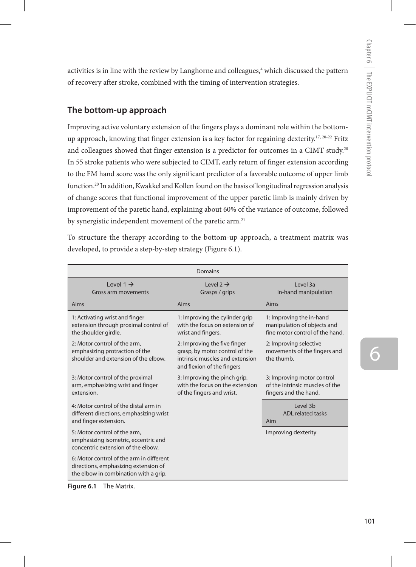activities is in line with the review by Langhorne and colleagues,<sup>4</sup> which discussed the pattern of recovery after stroke, combined with the timing of intervention strategies.

## **The bottom-up approach**

Improving active voluntary extension of the fingers plays a dominant role within the bottomup approach, knowing that finger extension is a key factor for regaining dexterity.<sup>17, 20-22</sup> Fritz and colleagues showed that finger extension is a predictor for outcomes in a CIMT study.<sup>20</sup> In 55 stroke patients who were subjected to CIMT, early return of finger extension according to the FM hand score was the only significant predictor of a favorable outcome of upper limb function.20 In addition, Kwakkel and Kollen found on the basis of longitudinal regression analysis of change scores that functional improvement of the upper paretic limb is mainly driven by improvement of the paretic hand, explaining about 60% of the variance of outcome, followed by synergistic independent movement of the paretic arm.<sup>21</sup>

To structure the therapy according to the bottom-up approach, a treatment matrix was developed, to provide a step-by-step strategy (Figure 6.1).

| Domains                                                                                                                   |                                                                                                                                 |                                                                                            |
|---------------------------------------------------------------------------------------------------------------------------|---------------------------------------------------------------------------------------------------------------------------------|--------------------------------------------------------------------------------------------|
| $level 1 \rightarrow$<br>Gross arm movements                                                                              | Level 2 $\rightarrow$<br>Grasps / grips                                                                                         | Level 3a<br>In-hand manipulation                                                           |
| Aims                                                                                                                      | Aims                                                                                                                            | Aims                                                                                       |
| 1: Activating wrist and finger<br>extension through proximal control of<br>the shoulder girdle.                           | 1: Improving the cylinder grip<br>with the focus on extension of<br>wrist and fingers.                                          | 1: Improving the in-hand<br>manipulation of objects and<br>fine motor control of the hand. |
| 2: Motor control of the arm,<br>emphasizing protraction of the<br>shoulder and extension of the elbow.                    | 2: Improving the five finger<br>grasp, by motor control of the<br>intrinsic muscles and extension<br>and flexion of the fingers | 2: Improving selective<br>movements of the fingers and<br>the thumb.                       |
| 3: Motor control of the proximal<br>arm, emphasizing wrist and finger<br>extension.                                       | 3: Improving the pinch grip,<br>with the focus on the extension<br>of the fingers and wrist.                                    | 3: Improving motor control<br>of the intrinsic muscles of the<br>fingers and the hand.     |
| 4: Motor control of the distal arm in<br>different directions, emphasizing wrist<br>and finger extension.                 |                                                                                                                                 | Level 3h<br><b>ADL</b> related tasks<br>Aim                                                |
| 5: Motor control of the arm,<br>emphasizing isometric, eccentric and<br>concentric extension of the elbow.                |                                                                                                                                 | Improving dexterity                                                                        |
| 6: Motor control of the arm in different<br>directions, emphasizing extension of<br>the elbow in combination with a grip. |                                                                                                                                 |                                                                                            |

**Figure 6.1** The Matrix.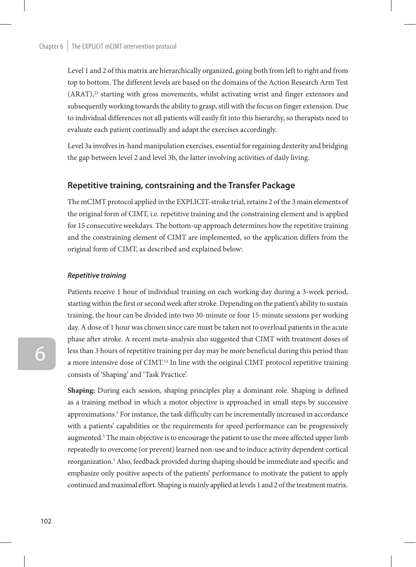Level 1 and 2 of this matrix are hierarchically organized, going both from left to right and from top to bottom. The different levels are based on the domains of the Action Research Arm Test (ARAT),23 starting with gross movements, whilst activating wrist and finger extensors and subsequently working towards the ability to grasp, still with the focus on finger extension. Due to individual differences not all patients will easily fit into this hierarchy, so therapists need to evaluate each patient continually and adapt the exercises accordingly.

Level 3a involves in-hand manipulation exercises, essential for regaining dexterity and bridging the gap between level 2 and level 3b, the latter involving activities of daily living.

### **Repetitive training, contsraining and the Transfer Package**

The mCIMT protocol applied in the EXPLICIT-stroke trial, retains 2 of the 3 main elements of the original form of CIMT, i.e. repetitive training and the constraining element and is applied for 15 consecutive weekdays. The bottom-up approach determines how the repetitive training and the constraining element of CIMT are implemented, so the application differs from the original form of CIMT, as described and explained below:

#### *Repetitive training*

Patients receive 1 hour of individual training on each working day during a 3-week period, starting within the first or second week after stroke. Depending on the patient's ability to sustain training, the hour can be divided into two 30-minute or four 15-minute sessions per working day. A dose of 1 hour was chosen since care must be taken not to overload patients in the acute phase after stroke. A recent meta-analysis also suggested that CIMT with treatment doses of less than 3 hours of repetitive training per day may be more beneficial during this period than a more intensive dose of CIMT.<sup>13</sup> In line with the original CIMT protocol repetitive training consists of 'Shaping' and 'Task Practice'.

**Shaping:** During each session, shaping principles play a dominant role. Shaping is defined as a training method in which a motor objective is approached in small steps by successive approximations.<sup>5</sup> For instance, the task difficulty can be incrementally increased in accordance with a patients' capabilities or the requirements for speed performance can be progressively augmented.<sup>5</sup> The main objective is to encourage the patient to use the more affected upper limb repeatedly to overcome (or prevent) learned non-use and to induce activity dependent cortical reorganization.<sup>5</sup> Also, feedback provided during shaping should be immediate and specific and emphasize only positive aspects of the patients' performance to motivate the patient to apply continued and maximal effort. Shaping is mainly applied at levels 1 and 2 of the treatment matrix.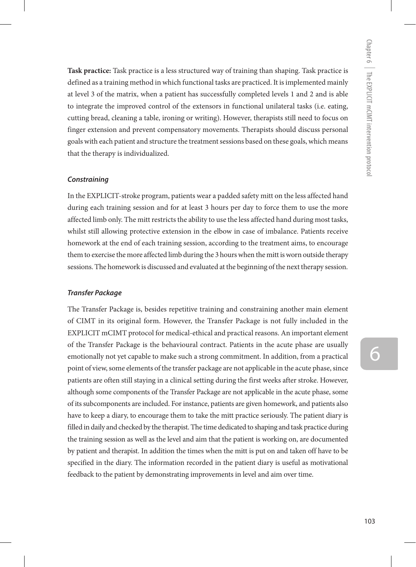**Task practice:** Task practice is a less structured way of training than shaping. Task practice is defined as a training method in which functional tasks are practiced. It is implemented mainly at level 3 of the matrix, when a patient has successfully completed levels 1 and 2 and is able to integrate the improved control of the extensors in functional unilateral tasks (i.e. eating, cutting bread, cleaning a table, ironing or writing). However, therapists still need to focus on finger extension and prevent compensatory movements. Therapists should discuss personal goals with each patient and structure the treatment sessions based on these goals, which means that the therapy is individualized.

#### *Constraining*

In the EXPLICIT-stroke program, patients wear a padded safety mitt on the less affected hand during each training session and for at least 3 hours per day to force them to use the more affected limb only. The mitt restricts the ability to use the less affected hand during most tasks, whilst still allowing protective extension in the elbow in case of imbalance. Patients receive homework at the end of each training session, according to the treatment aims, to encourage them to exercise the more affected limb during the 3 hours when the mitt is worn outside therapy sessions. The homework is discussed and evaluated at the beginning of the next therapy session.

#### *Transfer Package*

The Transfer Package is, besides repetitive training and constraining another main element of CIMT in its original form. However, the Transfer Package is not fully included in the EXPLICIT mCIMT protocol for medical-ethical and practical reasons. An important element of the Transfer Package is the behavioural contract. Patients in the acute phase are usually emotionally not yet capable to make such a strong commitment. In addition, from a practical point of view, some elements of the transfer package are not applicable in the acute phase, since patients are often still staying in a clinical setting during the first weeks after stroke. However, although some components of the Transfer Package are not applicable in the acute phase, some of its subcomponents are included. For instance, patients are given homework, and patients also have to keep a diary, to encourage them to take the mitt practice seriously. The patient diary is filled in daily and checked by the therapist. The time dedicated to shaping and task practice during the training session as well as the level and aim that the patient is working on, are documented by patient and therapist. In addition the times when the mitt is put on and taken off have to be specified in the diary. The information recorded in the patient diary is useful as motivational feedback to the patient by demonstrating improvements in level and aim over time.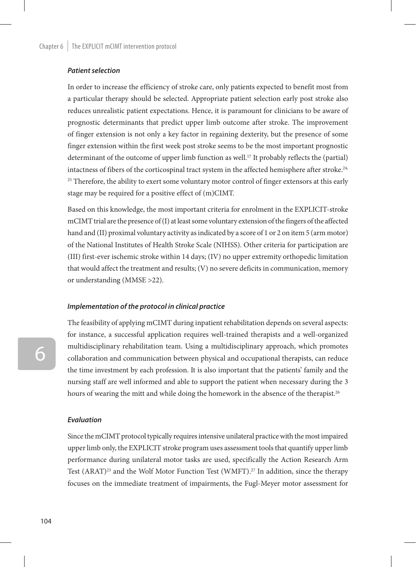#### *Patient selection*

In order to increase the efficiency of stroke care, only patients expected to benefit most from a particular therapy should be selected. Appropriate patient selection early post stroke also reduces unrealistic patient expectations. Hence, it is paramount for clinicians to be aware of prognostic determinants that predict upper limb outcome after stroke. The improvement of finger extension is not only a key factor in regaining dexterity, but the presence of some finger extension within the first week post stroke seems to be the most important prognostic determinant of the outcome of upper limb function as well.17 It probably reflects the (partial) intactness of fibers of the corticospinal tract system in the affected hemisphere after stroke.<sup>24,</sup>  $25$  Therefore, the ability to exert some voluntary motor control of finger extensors at this early stage may be required for a positive effect of (m)CIMT.

Based on this knowledge, the most important criteria for enrolment in the EXPLICIT-stroke mCIMT trial are the presence of (I) at least some voluntary extension of the fingers of the affected hand and (II) proximal voluntary activity as indicated by a score of 1 or 2 on item 5 (arm motor) of the National Institutes of Health Stroke Scale (NIHSS). Other criteria for participation are (III) first-ever ischemic stroke within 14 days; (IV) no upper extremity orthopedic limitation that would affect the treatment and results; (V) no severe deficits in communication, memory or understanding (MMSE >22).

#### *Implementation of the protocol in clinical practice*

The feasibility of applying mCIMT during inpatient rehabilitation depends on several aspects: for instance, a successful application requires well-trained therapists and a well-organized multidisciplinary rehabilitation team. Using a multidisciplinary approach, which promotes collaboration and communication between physical and occupational therapists, can reduce the time investment by each profession. It is also important that the patients' family and the nursing staff are well informed and able to support the patient when necessary during the 3 hours of wearing the mitt and while doing the homework in the absence of the therapist.<sup>26</sup>

#### *Evaluation*

Since the mCIMT protocol typically requires intensive unilateral practice with the most impaired upper limb only, the EXPLICIT stroke program uses assessment tools that quantify upper limb performance during unilateral motor tasks are used, specifically the Action Research Arm Test  $(ARAT)^{23}$  and the Wolf Motor Function Test (WMFT).<sup>27</sup> In addition, since the therapy focuses on the immediate treatment of impairments, the Fugl-Meyer motor assessment for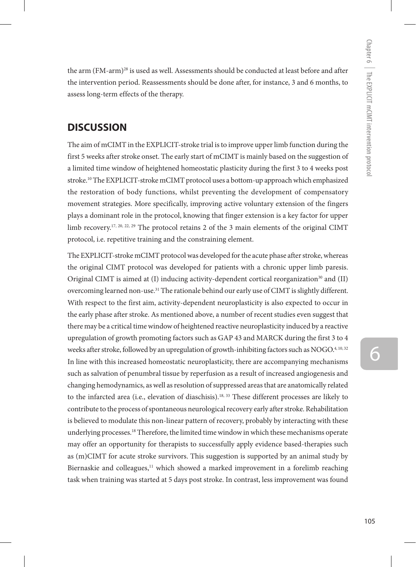the arm (FM-arm)<sup>28</sup> is used as well. Assessments should be conducted at least before and after the intervention period. Reassessments should be done after, for instance, 3 and 6 months, to assess long-term effects of the therapy.

# **DISCUSSION**

The aim of mCIMT in the EXPLICIT-stroke trial is to improve upper limb function during the first 5 weeks after stroke onset. The early start of mCIMT is mainly based on the suggestion of a limited time window of heightened homeostatic plasticity during the first 3 to 4 weeks post stroke.10 The EXPLICIT-stroke mCIMT protocol uses a bottom-up approach which emphasized the restoration of body functions, whilst preventing the development of compensatory movement strategies. More specifically, improving active voluntary extension of the fingers plays a dominant role in the protocol, knowing that finger extension is a key factor for upper limb recovery.<sup>17, 20, 22, 29</sup> The protocol retains 2 of the 3 main elements of the original CIMT protocol, i.e. repetitive training and the constraining element.

The EXPLICIT-stroke mCIMT protocol was developed for the acute phase after stroke, whereas the original CIMT protocol was developed for patients with a chronic upper limb paresis. Original CIMT is aimed at (I) inducing activity-dependent cortical reorganization<sup>30</sup> and (II) overcoming learned non-use.<sup>31</sup> The rationale behind our early use of CIMT is slightly different. With respect to the first aim, activity-dependent neuroplasticity is also expected to occur in the early phase after stroke. As mentioned above, a number of recent studies even suggest that there may be a critical time window of heightened reactive neuroplasticity induced by a reactive upregulation of growth promoting factors such as GAP 43 and MARCK during the first 3 to 4 weeks after stroke, followed by an upregulation of growth-inhibiting factors such as NOGO.<sup>4, 10, 32</sup> In line with this increased homeostatic neuroplasticity, there are accompanying mechanisms such as salvation of penumbral tissue by reperfusion as a result of increased angiogenesis and changing hemodynamics, as well as resolution of suppressed areas that are anatomically related to the infarcted area (i.e., elevation of diaschisis).<sup>18, 33</sup> These different processes are likely to contribute to the process of spontaneous neurological recovery early after stroke. Rehabilitation is believed to modulate this non-linear pattern of recovery, probably by interacting with these underlying processes.18 Therefore, the limited time window in which these mechanisms operate may offer an opportunity for therapists to successfully apply evidence based-therapies such as (m)CIMT for acute stroke survivors. This suggestion is supported by an animal study by Biernaskie and colleagues, $11$  which showed a marked improvement in a forelimb reaching task when training was started at 5 days post stroke. In contrast, less improvement was found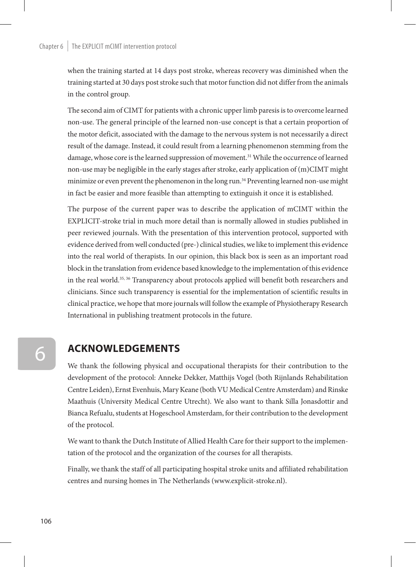#### Chapter  $6 \mid$  The EXPLICIT mCIMT intervention protocol

when the training started at 14 days post stroke, whereas recovery was diminished when the training started at 30 days post stroke such that motor function did not differ from the animals in the control group.

The second aim of CIMT for patients with a chronic upper limb paresis is to overcome learned non-use. The general principle of the learned non-use concept is that a certain proportion of the motor deficit, associated with the damage to the nervous system is not necessarily a direct result of the damage. Instead, it could result from a learning phenomenon stemming from the damage, whose core is the learned suppression of movement.<sup>31</sup> While the occurrence of learned non-use may be negligible in the early stages after stroke, early application of (m)CIMT might minimize or even prevent the phenomenon in the long run.<sup>34</sup> Preventing learned non-use might in fact be easier and more feasible than attempting to extinguish it once it is established.

The purpose of the current paper was to describe the application of mCIMT within the EXPLICIT-stroke trial in much more detail than is normally allowed in studies published in peer reviewed journals. With the presentation of this intervention protocol, supported with evidence derived from well conducted (pre-) clinical studies, we like to implement this evidence into the real world of therapists. In our opinion, this black box is seen as an important road block in the translation from evidence based knowledge to the implementation of this evidence in the real world.35, 36 Transparency about protocols applied will benefit both researchers and clinicians. Since such transparency is essential for the implementation of scientific results in clinical practice, we hope that more journals will follow the example of Physiotherapy Research International in publishing treatment protocols in the future.

# **Acknowledgements**

We thank the following physical and occupational therapists for their contribution to the development of the protocol: Anneke Dekker, Matthijs Vogel (both Rijnlands Rehabilitation Centre Leiden), Ernst Evenhuis, Mary Keane (both VU Medical Centre Amsterdam) and Rinske Maathuis (University Medical Centre Utrecht). We also want to thank Silla Jonasdottir and Bianca Refualu, students at Hogeschool Amsterdam, for their contribution to the development of the protocol.

We want to thank the Dutch Institute of Allied Health Care for their support to the implementation of the protocol and the organization of the courses for all therapists.

Finally, we thank the staff of all participating hospital stroke units and affiliated rehabilitation centres and nursing homes in The Netherlands (www.explicit-stroke.nl).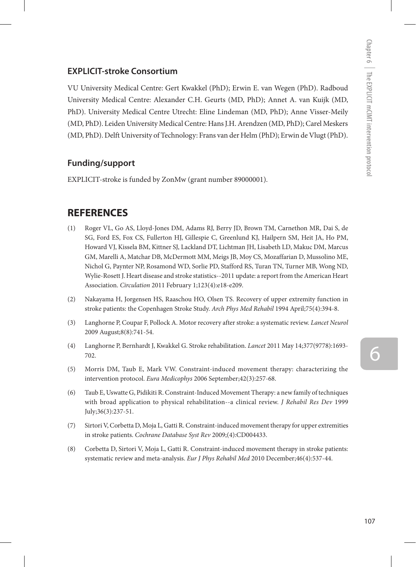## **EXPLICIT-stroke Consortium**

VU University Medical Centre: Gert Kwakkel (PhD); Erwin E. van Wegen (PhD). Radboud University Medical Centre: Alexander C.H. Geurts (MD, PhD); Annet A. van Kuijk (MD, PhD). University Medical Centre Utrecht: Eline Lindeman (MD, PhD); Anne Visser-Meily (MD, PhD). Leiden University Medical Centre: Hans J.H. Arendzen (MD, PhD); Carel Meskers (MD, PhD). Delft University of Technology: Frans van der Helm (PhD); Erwin de Vlugt (PhD).

## **Funding/support**

EXPLICIT-stroke is funded by ZonMw (grant number 89000001).

# **REFERENCES**

- (1) Roger VL, Go AS, Lloyd-Jones DM, Adams RJ, Berry JD, Brown TM, Carnethon MR, Dai S, de SG, Ford ES, Fox CS, Fullerton HJ, Gillespie C, Greenlund KJ, Hailpern SM, Heit JA, Ho PM, Howard VJ, Kissela BM, Kittner SJ, Lackland DT, Lichtman JH, Lisabeth LD, Makuc DM, Marcus GM, Marelli A, Matchar DB, McDermott MM, Meigs JB, Moy CS, Mozaffarian D, Mussolino ME, Nichol G, Paynter NP, Rosamond WD, Sorlie PD, Stafford RS, Turan TN, Turner MB, Wong ND, Wylie-Rosett J. Heart disease and stroke statistics--2011 update: a report from the American Heart Association. *Circulation* 2011 February 1;123(4):e18-e209.
- (2) Nakayama H, Jorgensen HS, Raaschou HO, Olsen TS. Recovery of upper extremity function in stroke patients: the Copenhagen Stroke Study. *Arch Phys Med Rehabil* 1994 April;75(4):394-8.
- (3) Langhorne P, Coupar F, Pollock A. Motor recovery after stroke: a systematic review. *Lancet Neurol*  2009 August;8(8):741-54.
- (4) Langhorne P, Bernhardt J, Kwakkel G. Stroke rehabilitation. *Lancet* 2011 May 14;377(9778):1693- 702.
- (5) Morris DM, Taub E, Mark VW. Constraint-induced movement therapy: characterizing the intervention protocol. *Eura Medicophys* 2006 September;42(3):257-68.
- (6) Taub E, Uswatte G, Pidikiti R. Constraint-Induced Movement Therapy: a new family of techniques with broad application to physical rehabilitation--a clinical review. *J Rehabil Res Dev* 1999 July;36(3):237-51.
- (7) Sirtori V, Corbetta D, Moja L, Gatti R. Constraint-induced movement therapy for upper extremities in stroke patients. *Cochrane Database Syst Rev* 2009;(4):CD004433.
- (8) Corbetta D, Sirtori V, Moja L, Gatti R. Constraint-induced movement therapy in stroke patients: systematic review and meta-analysis. *Eur J Phys Rehabil Med* 2010 December;46(4):537-44.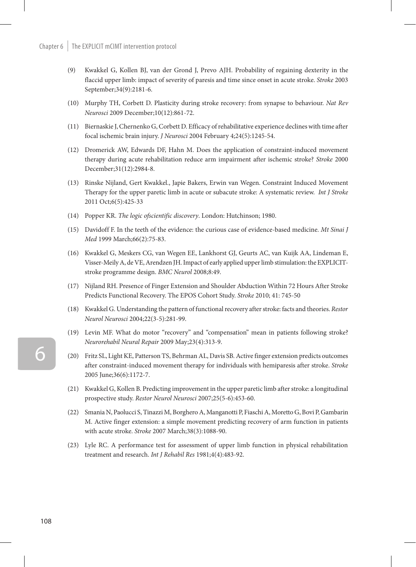- (9) Kwakkel G, Kollen BJ, van der Grond J, Prevo AJH. Probability of regaining dexterity in the flaccid upper limb: impact of severity of paresis and time since onset in acute stroke. *Stroke* 2003 September;34(9):2181-6.
- (10) Murphy TH, Corbett D. Plasticity during stroke recovery: from synapse to behaviour. *Nat Rev Neurosci* 2009 December;10(12):861-72.
- (11) Biernaskie J, Chernenko G, Corbett D. Efficacy of rehabilitative experience declines with time after focal ischemic brain injury. *J Neurosci* 2004 February 4;24(5):1245-54.
- (12) Dromerick AW, Edwards DF, Hahn M. Does the application of constraint-induced movement therapy during acute rehabilitation reduce arm impairment after ischemic stroke? *Stroke* 2000 December;31(12):2984-8.
- (13) Rinske Nijland, Gert Kwakkel., Japie Bakers, Erwin van Wegen. Constraint Induced Movement Therapy for the upper paretic limb in acute or subacute stroke: A systematic review. *Int J Stroke*  2011 Oct;6(5):425-33
- (14) Popper KR. *The logic ofscientific discovery*. London: Hutchinson; 1980.
- (15) Davidoff F. In the teeth of the evidence: the curious case of evidence-based medicine. *Mt Sinai J Med* 1999 March;66(2):75-83.
- (16) Kwakkel G, Meskers CG, van Wegen EE, Lankhorst GJ, Geurts AC, van Kuijk AA, Lindeman E, Visser-Meily A, de VE, Arendzen JH. Impact of early applied upper limb stimulation: the EXPLICITstroke programme design. *BMC Neurol* 2008;8:49.
- (17) Nijland RH. Presence of Finger Extension and Shoulder Abduction Within 72 Hours After Stroke Predicts Functional Recovery. The EPOS Cohort Study. *Stroke* 2010; 41: 745-50
- (18) Kwakkel G. Understanding the pattern of functional recovery after stroke: facts and theories. *Restor Neurol Neurosci* 2004;22(3-5):281-99.
- (19) Levin MF. What do motor "recovery" and "compensation" mean in patients following stroke? *Neurorehabil Neural Repair* 2009 May;23(4):313-9.
- (20) Fritz SL, Light KE, Patterson TS, Behrman AL, Davis SB. Active finger extension predicts outcomes after constraint-induced movement therapy for individuals with hemiparesis after stroke. *Stroke* 2005 June;36(6):1172-7.
- (21) Kwakkel G, Kollen B. Predicting improvement in the upper paretic limb after stroke: a longitudinal prospective study. *Restor Neurol Neurosci* 2007;25(5-6):453-60.
- (22) Smania N, Paolucci S, Tinazzi M, Borghero A, Manganotti P, Fiaschi A, Moretto G, Bovi P, Gambarin M. Active finger extension: a simple movement predicting recovery of arm function in patients with acute stroke. *Stroke* 2007 March;38(3):1088-90.
- (23) Lyle RC. A performance test for assessment of upper limb function in physical rehabilitation treatment and research. *Int J Rehabil Res* 1981;4(4):483-92.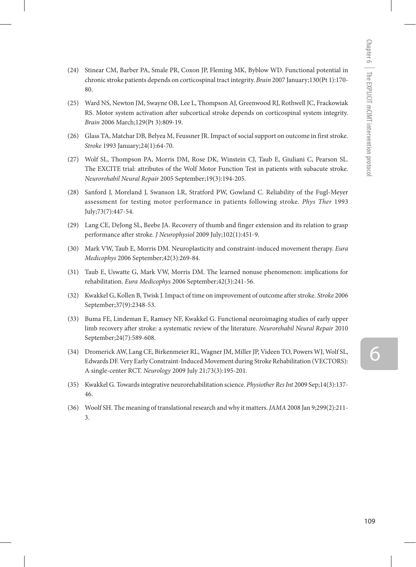- (24) Stinear CM, Barber PA, Smale PR, Coxon JP, Fleming MK, Byblow WD. Functional potential in chronic stroke patients depends on corticospinal tract integrity. *Brain* 2007 January;130(Pt 1):170- 80.
- (25) Ward NS, Newton JM, Swayne OB, Lee L, Thompson AJ, Greenwood RJ, Rothwell JC, Frackowiak RS. Motor system activation after subcortical stroke depends on corticospinal system integrity. *Brain* 2006 March;129(Pt 3):809-19.
- (26) Glass TA, Matchar DB, Belyea M, Feussner JR. Impact of social support on outcome in first stroke. *Stroke* 1993 January;24(1):64-70.
- (27) Wolf SL, Thompson PA, Morris DM, Rose DK, Winstein CJ, Taub E, Giuliani C, Pearson SL. The EXCITE trial: attributes of the Wolf Motor Function Test in patients with subacute stroke. *Neurorehabil Neural Repair* 2005 September;19(3):194-205.
- (28) Sanford J, Moreland J, Swanson LR, Stratford PW, Gowland C. Reliability of the Fugl-Meyer assessment for testing motor performance in patients following stroke. *Phys Ther* 1993 July;73(7):447-54.
- (29) Lang CE, DeJong SL, Beebe JA. Recovery of thumb and finger extension and its relation to grasp performance after stroke. *J Neurophysiol* 2009 July;102(1):451-9.
- (30) Mark VW, Taub E, Morris DM. Neuroplasticity and constraint-induced movement therapy. *Eura Medicophys* 2006 September;42(3):269-84.
- (31) Taub E, Uswatte G, Mark VW, Morris DM. The learned nonuse phenomenon: implications for rehabilitation. *Eura Medicophys* 2006 September;42(3):241-56.
- (32) Kwakkel G, Kollen B, Twisk J. Impact of time on improvement of outcome after stroke. *Stroke* 2006 September;37(9):2348-53.
- (33) Buma FE, Lindeman E, Ramsey NF, Kwakkel G. Functional neuroimaging studies of early upper limb recovery after stroke: a systematic review of the literature. *Neurorehabil Neural Repair* 2010 September;24(7):589-608.
- (34) Dromerick AW, Lang CE, Birkenmeier RL, Wagner JM, Miller JP, Videen TO, Powers WJ, Wolf SL, Edwards DF. Very Early Constraint-Induced Movement during Stroke Rehabilitation (VECTORS): A single-center RCT. *Neurology* 2009 July 21;73(3):195-201.
- (35) Kwakkel G. Towards integrative neurorehabilitation science. *Physiother Res Int* 2009 Sep;14(3):137- 46.
- (36) Woolf SH. The meaning of translational research and why it matters. *JAMA* 2008 Jan 9;299(2):211- 3.